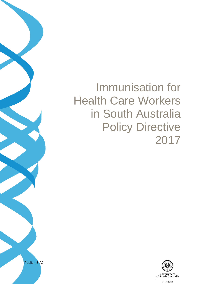# Immunisation for Health Care Workers in South Australia Policy Directive 2017



Public- I3-A2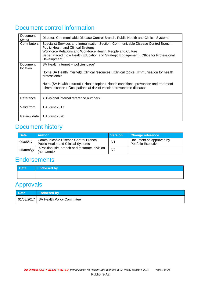# Document control information

| Document<br>owner    | Director, Communicable Disease Control Branch, Public Health and Clinical Systems                                                                                                                                                                                                                  |
|----------------------|----------------------------------------------------------------------------------------------------------------------------------------------------------------------------------------------------------------------------------------------------------------------------------------------------|
| <b>Contributors</b>  | Specialist Services and Immunisation Section, Communicable Disease Control Branch,<br>Public Health and Clinical Systems.<br>Workforce Relations and Workforce Health, People and Culture<br>Better Placed (now Health Education and Strategic Engagement), Office for Professional<br>Development |
| Document<br>location | SA Health internet - 'policies page'                                                                                                                                                                                                                                                               |
|                      | Home(SA Health internet)□Clinical resources □Clinical topics □Immunisation for health<br>professionals                                                                                                                                                                                             |
|                      | Home(SA Health internet) $\Box$ Health topics $\Box$ Health conditions, prevention and treatment<br>□Immunisation □Occupations at risk of vaccine preventable diseases                                                                                                                             |
| Reference            | <divisional internal="" number="" reference=""></divisional>                                                                                                                                                                                                                                       |
| Valid from           | 1 August 2017                                                                                                                                                                                                                                                                                      |
| Review date          | 1 August 2020                                                                                                                                                                                                                                                                                      |

# Document history

| <b>Date</b> | <b>Author</b>                                                                                                     | <b>Version</b> | <b>Change reference</b>                         |
|-------------|-------------------------------------------------------------------------------------------------------------------|----------------|-------------------------------------------------|
| 09/05/17    | Communicable Disease Control Branch,<br><b>Public Health and Clinical Systems</b>                                 | V <sub>1</sub> | Document as approved by<br>Portfolio Executive. |
| dd/mm/yy    | <position branch="" directorate,="" division<br="" or="" title,=""><math>(no</math> name<math>)</math></position> | V2             |                                                 |

# **Endorsements**

# Approvals

| <b>Date</b> | Endorsed by                             |
|-------------|-----------------------------------------|
|             | 01/08/2017   SA Health Policy Committee |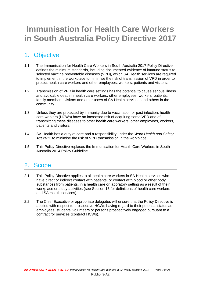# **Immunisation for Health Care Workers in South Australia Policy Directive 2017**

# 1. Objective

- 1.1 The Immunisation for Health Care Workers in South Australia 2017 Policy Directive defines the minimum standards, including documented evidence of immune status to selected vaccine preventable diseases (VPD), which SA Health services are required to implement in the workplace to minimise the risk of transmission of VPD in order to protect health care workers and other employees, workers, patients and visitors.
- 1.2 Transmission of VPD in health care settings has the potential to cause serious illness and avoidable death in health care workers, other employees, workers, patients, family members, visitors and other users of SA Health services, and others in the community.
- 1.3 Unless they are protected by immunity due to vaccination or past infection, health care workers (HCWs) have an increased risk of acquiring some VPD and of transmitting these diseases to other health care workers, other employees, workers, patients and visitors.
- 1.4 SA Health has a duty of care and a responsibility under the *Work Health and Safety Act 2012* to minimise the risk of VPD transmission in the workplace.
- 1.5 This Policy Directive replaces the Immunisation for Health Care Workers in South Australia 2014 Policy Guideline.

### 2. Scope

- 2.1 This Policy Directive applies to all health care workers in SA Health services who have direct or indirect contact with patients, or contact with blood or other body substances from patients, in a health care or laboratory setting as a result of their workplace or study activities (see Section 13 for definitions of health care workers and SA Health services).
- 2.2 The Chief Executive or appropriate delegates will ensure that the Policy Directive is applied with respect to prospective HCWs having regard to their potential status as employees, students, volunteers or persons prospectively engaged pursuant to a contract for services (contract HCWs).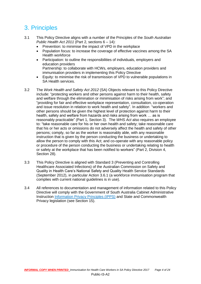# 3. Principles

- 3.1 This Policy Directive aligns with a number of the Principles of the *South Australian Public Health Act 2011* (Part 2, sections 6 – 14):
	- Prevention: to minimise the impact of VPD in the workplace
	- Population focus: to increase the coverage of effective vaccines among the SA Health workforce
	- Participation: to outline the responsibilities of individuals, employers and education providers Partnership: to collaborate with HCWs, employers, education providers and immunisation providers in implementing this Policy Directive
	- Equity: to minimise the risk of transmission of VPD to vulnerable populations in SA Health services.
- 3.2 The *Work Health and Safety Act 2012* (SA) Objects relevant to this Policy Directive include: "protecting workers and other persons against harm to their health, safety and welfare through the elimination or minimisation of risks arising from work"; and "providing for fair and effective workplace representation, consultation, co-operation and issue resolution in relation to work health and safety". In addition "workers and other persons should be given the highest level of protection against harm to their health, safety and welfare from hazards and risks arising from work … as is reasonably practicable" (Part 1, Section 3). The *WHS Act* also requires an employee to: "take reasonable care for his or her own health and safety; take reasonable care that his or her acts or omissions do not adversely affect the health and safety of other persons; comply, so far as the worker is reasonably able, with any reasonable instruction that is given by the person conducting the business or undertaking to allow the person to comply with this Act; and co-operate with any reasonable policy or procedure of the person conducting the business or undertaking relating to health or safety at the workplace that has been notified to workers" (Part 2, Division 4, Section 28).
- 3.3 This Policy Directive is aligned with Standard 3 (Preventing and Controlling Healthcare Associated Infections) of the Australian Commission on Safety and Quality in Health Care's National Safety and Quality Health Service Standards (September 2012), in particular Action 3.6.1 (a workforce immunisation program that complies with current national guidelines is in use).
- 3.4 All references to documentation and management of information related to this Policy Directive will comply with the Government of South Australia Cabinet Administrative Instruction [Information Privacy Principles \(IPPS\)](https://www.archives.sa.gov.au/sites/default/files/20160719%20Prem%20Cab%20Circ%2012%20-%20amended%20June%202016%20-%20with%20Proclamation%20FINAL.pdf) and State and Commonwealth Privacy legislation (see Section 15).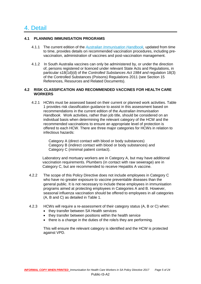### 4. Detail

#### **4.1 PLANNING IMMUNISATION PROGRAMS**

- 4.1.1 The current edition of the *[Australian Immunisation Handbook,](http://immunise.health.gov.au/internet/immunise/publishing.nsf/Content/Handbook10-home)* updated from time to time, provides details on recommended vaccination procedures, including prevaccination, administration of vaccines and post-vaccination management.
- 4.1.2 In South Australia vaccines can only be administered by, or under the direction of, persons registered or licenced under relevant State Acts and Regulations, in particular s18(1d)(d) of the *Controlled Substances Act 1984 and* regulation 18(3) of the Controlled Substances (Poisons) Regulations 2011 (see Section 15 References, Resources and Related Documents).

#### **4.2 RISK CLASSIFICATION AND RECOMMENDED VACCINES FOR HEALTH CARE WORKERS**

4.2.1 HCWs must be assessed based on their current or planned work activities. Table 1 provides risk classification guidance to assist in this assessment based on recommendations in the current edition of the *Australian Immunisation Handbook.* Work activities, rather than job title, should be considered on an individual basis when determining the relevant category of the HCW and the recommended vaccinations to ensure an appropriate level of protection is offered to each HCW. There are three major categories for HCWs in relation to infectious hazards:

> Category A (direct contact with blood or body substances) Category B (indirect contact with blood or body substances) and Category C (minimal patient contact).

Laboratory and mortuary workers are in Category A, but may have additional vaccination requirements. Plumbers (in contact with raw sewerage) are in Category C, but are recommended to receive Hepatitis A vaccine.

- 4.2.2 The scope of this Policy Directive does not include employees in Category C who have no greater exposure to vaccine preventable diseases than the general public. It is not necessary to include these employees in immunisation programs aimed at protecting employees in Categories A and B. However, seasonal influenza vaccination should be offered to employees in all categories (A, B and C) as detailed in Table 1.
- 4.2.3 HCWs will require a re-assessment of their category status (A, B or C) when:
	- they transfer between SA Health services
	- they transfer between positions within the health service
	- there is a change in the duties of the role/s they are performing.

This will ensure the relevant category is identified and the HCW is protected against VPD.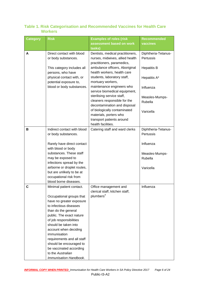| <b>Category</b> | <b>Risk</b>                                          | <b>Examples of roles (risk</b><br>assessment based on work                                        | <b>Recommended</b><br>vaccines   |
|-----------------|------------------------------------------------------|---------------------------------------------------------------------------------------------------|----------------------------------|
|                 |                                                      | tasks)                                                                                            |                                  |
| A               | Direct contact with blood<br>or body substances.     | Dentists, medical practitioners,<br>nurses, midwives, allied health<br>practitioners, paramedics, | Diphtheria-Tetanus-<br>Pertussis |
|                 | This category includes all<br>persons, who have      | ambulance officers, Aboriginal<br>health workers, health care                                     | <b>Hepatitis B</b>               |
|                 | physical contact with, or<br>potential exposure to,  | students, laboratory staff,<br>mortuary workers,                                                  | Hepatitis A*                     |
|                 | blood or body substances.                            | maintenance engineers who<br>service biomedical equipment,                                        | Influenza                        |
|                 |                                                      | sterilising service staff,<br>cleaners responsible for the<br>decontamination and disposal        | Measles-Mumps-<br>Rubella        |
|                 |                                                      | of biologically contaminated<br>materials, porters who<br>transport patients around               | Varicella                        |
|                 |                                                      | health facilities.                                                                                |                                  |
| в               | Indirect contact with blood<br>or body substances.   | Catering staff and ward clerks                                                                    | Diphtheria-Tetanus-<br>Pertussis |
|                 | Rarely have direct contact<br>with blood or body     |                                                                                                   | Influenza                        |
|                 | substances. These staff                              |                                                                                                   | Measles-Mumps-                   |
|                 | may be exposed to<br>infections spread by the        |                                                                                                   | Rubella                          |
|                 | airborne or droplet routes,                          |                                                                                                   | Varicella                        |
|                 | but are unlikely to be at                            |                                                                                                   |                                  |
|                 | occupational risk from                               |                                                                                                   |                                  |
|                 | blood borne diseases.                                |                                                                                                   |                                  |
|                 | Minimal patient contact.                             | Office management and<br>clerical staff, kitchen staff,<br>plumbers <sup>#</sup>                  | Influenza                        |
|                 | Occupational groups that<br>have no greater exposure |                                                                                                   |                                  |
|                 | to infectious diseases                               |                                                                                                   |                                  |
|                 | than do the general                                  |                                                                                                   |                                  |
|                 | public. The exact nature                             |                                                                                                   |                                  |
|                 | of job responsibilities                              |                                                                                                   |                                  |
|                 | should be taken into                                 |                                                                                                   |                                  |
|                 | account when deciding<br>immunisation                |                                                                                                   |                                  |
|                 | requirements and all staff                           |                                                                                                   |                                  |
|                 | should be encouraged to                              |                                                                                                   |                                  |
|                 | be vaccinated according                              |                                                                                                   |                                  |
|                 | to the Australian                                    |                                                                                                   |                                  |
|                 | Immunisation Handbook.                               |                                                                                                   |                                  |

#### **Table 1. Risk Categorisation and Recommended Vaccines for Health Care Workers**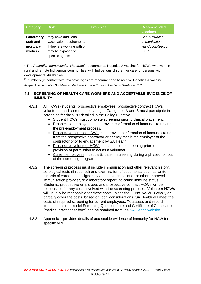| <b>Category</b>                                | <b>Risk</b>                                                                                                             | <b>Examples</b> | Recommended<br>vaccines                                            |
|------------------------------------------------|-------------------------------------------------------------------------------------------------------------------------|-----------------|--------------------------------------------------------------------|
| Laboratory<br>staff and<br>mortuary<br>workers | May have additional<br>vaccination requirements<br>if they are working with or<br>may be exposed to<br>specific agents. |                 | See Australian<br><i>Immunisation</i><br>Handbook-Section<br>3.3.7 |

\* The *Australian Immunisation Handbook* recommends Hepatitis A vaccine for HCWs who work in rural and remote Indigenous communities; with Indigenous children; or care for persons with developmental disabilities.

# Plumbers (in contact with raw sewerage) are recommended to receive Hepatitis A vaccine. Adapted from: *Australian Guidelines for the Prevention and Control of Infection in Healthcare, 2010.*

#### **4.3 SCREENING OF HEALTH CARE WORKERS AND ACCEPTABLE EVIDENCE OF IMMUNITY**

- 4.3.1 All HCWs (students, prospective employees, prospective contract HCWs, volunteers, and current employees) in Categories A and B must participate in screening for the VPD detailed in the Policy Directive.
	- Student HCWs must complete screening prior to clinical placement.
	- Prospective employees must provide confirmation of immune status during the pre-employment process.
	- Prospective contract HCWs must provide confirmation of immune status from the prospective contractor or agency that is the employer of the contractor prior to engagement by SA Health.
	- Prospective volunteer HCWs must complete screening prior to the provision of permission to act as a volunteer.
	- Current employees must participate in screening during a phased roll-out of the screening program.
- 4.3.2 The screening process must include immunisation and other relevant history, serological tests (if required) and examination of documents, such as written records of vaccinations signed by a medical practitioner or other approved immunisation provider, or a laboratory report indicating immune status. Students, prospective employees and prospective contract HCWs will be responsible for any costs involved with the screening process. Volunteer HCWs will usually be responsible for these costs unless the LHN/SAAS/BU wholly or partially cover the costs, based on local considerations. SA Health will meet the costs of required screening for current employees. To assess and record immune status a model Screening Questionnaire and Certificate of Compliance (medical practitioner form) can be obtained from the [SA Health website.](http://www.sahealth.sa.gov.au/immunisationprovider)
- 4.3.3 Appendix 1 provides details of acceptable evidence of immunity for HCW for specific VPD.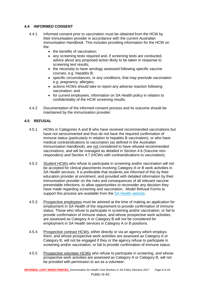#### **4.4 INFORMED CONSENT**

- 4.4.1 Informed consent prior to vaccination must be obtained from the HCW by their immunisation provider in accordance with the current *Australian Immunisation Handbook*. This includes providing information for the HCW on the:
	- the benefits of vaccination;
	- any screening tests required and, if screening tests are conducted, advice about any proposed action likely to be taken in response to screening test results;
	- the necessity to have serology assessed following specific vaccine courses, e.g. hepatitis B;
	- specific circumstances, or any conditions, that may preclude vaccination e.g. pregnancy, allergies;
	- actions HCWs should take to report any adverse reaction following vaccination; and
	- for current employees, information on SA Health policy in relation to confidentiality of the HCW screening results.
- 4.4.2 Documentation of the informed consent process and its outcome should be maintained by the immunisation provider.

#### **4.5 REFUSAL**

- 4.5.1 HCWs in Categories A and B who have received recommended vaccinations but have not seroconverted and thus do not have the required confirmation of immune status (particularly in relation to hepatitis B vaccination), or who have medical contraindications to vaccination (as defined in the *Australian Immunisation Handbook*), are not considered to have refused recommended vaccinations, and will be managed as detailed in Section 4.6 (Vaccine nonresponders) and Section 4.7 (HCWs with contraindications to vaccination).
- 4.5.2 Student HCWs who refuse to participate in screening and/or vaccination will not be accepted for clinical placements involving Category A or B work activities in SA Health services. It is preferable that students are informed of this by their education provider at enrolment, and provided with detailed information by their immunisation provider on the risks and consequences of all relevant vaccine preventable infections, to allow opportunities to reconsider any decision they have made regarding screening and vaccination. Model Refusal Forms to support this process are available from the **SA Health website**.
- 4.5.3 Prospective employees must be advised at the time of making an application for employment in SA Health of the requirement to provide confirmation of immune status. Those who refuse to participate in screening and/or vaccination, or fail to provide confirmation of immune status, and whose prospective work activities are assessed as Category A or Category B will not be considered for employment in SA Health services in Category A or B positions.
- 4.5.4 Prospective contract HCWs, either directly or via an agency which employs them, and whose prospective work activities are assessed as Category A or Category B, will not be engaged if they or the agency refuse to participate in screening and/or vaccination, or fail to provide confirmation of immune status.
- 4.5.5 Prospective volunteer HCWs who refuse to participate in screening, and whose prospective work activities are assessed as Category A or Category B, will not be provided with permission to act as a volunteer.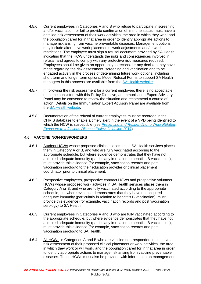- 4.5.6 Current employees in Categories A and B who refuse to participate in screening and/or vaccination, or fail to provide confirmation of immune status, must have a detailed risk assessment of their work activities, the area in which they work and the population cared for in that area in order to identify appropriate actions to manage risk arising from vaccine preventable diseases. Management options may include alternative work placements, work adjustments and/or work restrictions. The employee must sign a refusal document provided by SA Health indicating that the HCW understands the risks and consequences involved in refusal, and agrees to comply with any protective risk measures required. Employees should be given an opportunity to reconsider any decision they have made regarding the risk assessment, screening and vaccination and to be engaged actively in the process of determining future work options, including short term and longer term options. Model Refusal Forms to support SA Health managers in this process are available from the [SA Health website.](http://www.sahealth.sa.gov.au/immunisationprovider)
- 4.5.7 If, following the risk assessment for a current employee, there is no acceptable outcome consistent with this Policy Directive, an Immunisation Expert Advisory Panel may be convened to review the situation and recommend a course of action. Details on the Immunisation Expert Advisory Panel are available from the [SA Health website.](http://www.sahealth.sa.gov.au/immunisationprovider)
- 4.5.8 Documentation of the refusal of current employees must be recorded in the CHRIS database to enable a timely alert in the event of a VPD being identified to which the HCW is susceptible (see *[Preventing and Responding to Work Related](http://www.sahealth.sa.gov.au/)  [Exposure to Infectious Disease Policy Guideline](http://www.sahealth.sa.gov.au/)* 2017)

#### **4.6 VACCINE NON-RESPONDERS**

- 4.6.1 Student HCWs whose proposed clinical placement in SA Health services places them in Category A or B, and who are fully vaccinated according to the appropriate schedule, but where evidence demonstrates that they have not acquired adequate immunity (particularly in relation to hepatitis B vaccination), must provide this evidence (for example, vaccination records and post vaccination serology) to their education provider or clinical placement coordinator prior to clinical placement.
- 4.6.2 Prospective employees, prospective contract HCWs and prospective volunteer HCWs whose proposed work activities in SA Health services places them in Category A or B, and who are fully vaccinated according to the appropriate schedule, but where evidence demonstrates that they have not acquired adequate immunity (particularly in relation to hepatitis B vaccination), must provide this evidence (for example, vaccination records and post vaccination serology) to SA Health.
- 4.6.3 Current employees in Categories A and B who are fully vaccinated according to the appropriate schedule, but where evidence demonstrates that they have not acquired adequate immunity (particularly in relation to hepatitis B vaccination), must provide this evidence (for example, vaccination records and post vaccination serology) to SA Health.
- 4.6.4 All HCWs in Categories A and B who are vaccine non-responders must have a risk assessment of their proposed clinical placement or work activities, the area in which they work or will work, and the population cared for in that area in order to identify appropriate actions to manage risk arising from vaccine preventable diseases. These HCWs must also be provided with information on management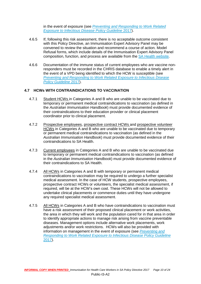in the event of exposure (see *[Preventing and Responding to Work Related](http://www.sahealth.sa.gov.au/)  [Exposure to Infectious Disease Policy Guideline](http://www.sahealth.sa.gov.au/)* 2017).

- 4.6.5 If, following this risk assessment, there is no acceptable outcome consistent with this Policy Directive, an Immunisation Expert Advisory Panel may be convened to review the situation and recommend a course of action. Model Refusal forms, which include details of the Immunisation Expert Advisory Panel composition, function, and process are available from the [SA Health website.](http://www.sahealth.sa.gov.au/immunisationprovider)
- 4.6.6 Documentation of the immune status of current employees who are vaccine nonresponders must be recorded in the CHRIS database to enable a timely alert in the event of a VPD being identified to which the HCW is susceptible (see *[Preventing and Responding to Work Related Exposure to Infectious Disease](http://www.sahealth.sa.gov.au/)  [Policy Guideline](http://www.sahealth.sa.gov.au/)* 2017).

#### **4.7 HCWs WITH CONTRAINDICATIONS TO VACCINATION**

- 4.7.1 Student HCWs in Categories A and B who are unable to be vaccinated due to temporary or permanent medical contraindications to vaccination (as defined in the *Australian Immunisation Handbook*) must provide documented evidence of their contraindications to their education provider or clinical placement coordinator prior to clinical placement.
- 4.7.2 Prospective employees, prospective contract HCWs and prospective volunteer HCWs in Categories A and B who are unable to be vaccinated due to temporary or permanent medical contraindications to vaccination (as defined in the *Australian Immunisation Handbook*) must provide documented evidence of their contraindications to SA Health.
- 4.7.3 Current employees in Categories A and B who are unable to be vaccinated due to temporary or permanent medical contraindications to vaccination (as defined in the *Australian Immunisation Handbook*) must provide documented evidence of their contraindications to SA Health.
- 4.7.4 All HCWs in Categories A and B with temporary or permanent medical contraindications to vaccination may be required to undergo a further specialist medical assessment. In the case of HCW students, prospective employees, prospective contract HCWs or volunteers, the specialist medical assessment, if required, will be at the HCW's own cost. These HCWs will not be allowed to undertake clinical placements or commence duties until they have undergone any required specialist medical assessment.
- 4.7.5 All HCWs in Categories A and B who have contraindications to vaccination must have a risk assessment of their proposed clinical placement or work activities, the area in which they will work and the population cared for in that area in order to identify appropriate actions to manage risk arising from vaccine preventable diseases. Management options include alternative work placements, work adjustments and/or work restrictions. HCWs will also be provided with information on management in the event of exposure (see *[Preventing and](http://www.sahealth.sa.gov.au/)  [Responding to Work Related Exposure to Infectious Disease Policy Guideline](http://www.sahealth.sa.gov.au/)* [2017\)](http://www.sahealth.sa.gov.au/).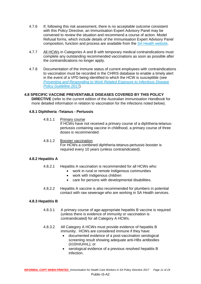- 4.7.6 If, following this risk assessment, there is no acceptable outcome consistent with this Policy Directive, an Immunisation Expert Advisory Panel may be convened to review the situation and recommend a course of action. Model Refusal forms, which include details of the Immunisation Expert Advisory Panel composition, function and process are available from the [SA Health website.](http://www.sahealth.sa.gov.au/immunisationprovider)
- 4.7.7 All HCWs in Categories A and B with temporary medical contraindications must complete any outstanding recommended vaccinations as soon as possible after the contraindications no longer apply.
- 4.7.8 Documentation of the immune status of current employees with contraindications to vaccination must be recorded in the CHRIS database to enable a timely alert in the event of a VPD being identified to which the HCW is susceptible (see *[Preventing and Responding to Work Related Exposure to Infectious Disease](http://www.sahealth.sa.gov.au/)  [Policy Guideline](http://www.sahealth.sa.gov.au/)* 2017).

#### **4.8 SPECIFIC VACCINE PREVENTABLE DISEASES COVERED BY THIS POLICY DIRECTIVE** (refer to the current edition of the *Australian Immunisation Handbook* for more detailed information in relation to vaccination for the infections noted below).

#### **4.8.1 Diphtheria -Tetanus - Pertussis**

4.8.1.1 Primary course

If HCWs have not received a primary course of a diphtheria-tetanuspertussis containing vaccine in childhood, a primary course of three doses is recommended.

4.8.1.2 Booster vaccination

For HCWs a combined diphtheria-tetanus-pertussis booster is required every 10 years (unless contraindicated).

#### **4.8.2 Hepatitis A**

- 4.8.2.1 Hepatitis A vaccination is recommended for all HCWs who:
	- work in rural or remote Indigenous communities
	- work with Indigenous children
	- care for persons with developmental disabilities.
- 4.8.2.2 Hepatitis A vaccine is also recommended for plumbers in potential contact with raw sewerage who are working in SA Health services.

#### **4.8.3 Hepatitis B**

- 4.8.3.1 A primary course of age-appropriate hepatitis B vaccine is required (unless there is evidence of immunity or vaccination is contraindicated) for all Category A HCWs.
- 4.8.3.2 All Category A HCWs must provide evidence of hepatitis B immunity. HCWs are considered immune if they have:
	- documented evidence of a post-vaccination serological screening result showing adequate anti-HBs antibodies (≥10mIU/mL); or
	- serological evidence of a previous resolved hepatitis B infection.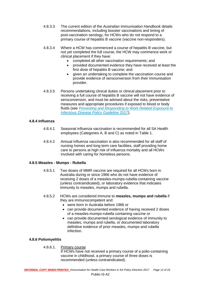- 4.8.3.3 The current edition of the *Australian Immunisation Handbook* details recommendations, including booster vaccinations and timing of post-vaccination serology, for HCWs who do not respond to a primary course of hepatitis B vaccine (vaccine non-responders).
- 4.8.3.4 Where a HCW has commenced a course of hepatitis B vaccine, but not yet completed the full course, the HCW may commence work or clinical placement if they have:
	- completed all other vaccination requirements; and
	- provided documented evidence they have received at least the first dose of hepatitis B vaccine; and
	- given an undertaking to complete the vaccination course and provide evidence of seroconversion from their immunisation provider.
- 4.8.3.5 Persons undertaking clinical duties or clinical placement prior to receiving a full course of hepatitis B vaccine will not have evidence of seroconversion, and must be advised about the risks, preventative measures and appropriate procedures if exposed to blood or body fluids (see *[Preventing and Responding to Work Related Exposure to](http://www.sahealth.sa.gov.au/)  [Infectious Disease Policy Guideline](http://www.sahealth.sa.gov.au/)* 2017).

#### **4.8.4 Influenza**

- 4.8.4.1 Seasonal influenza vaccination is recommended for all SA Health employees (Categories A, B and C) as noted in Table 1.
- 4.8.4.2 Annual influenza vaccination is also recommended for all staff of nursing homes and long term care facilities, staff providing home care to persons at high risk of influenza mortality and all HCWs involved with caring for homeless persons.

#### **4.8.5 Measles - Mumps - Rubella**

- 4.8.5.1 Two doses of MMR vaccine are required for all HCWs born in Australia during or since 1966 who do not have evidence of receiving 2 doses of a measles-mumps-rubella-containing vaccine (unless contraindicated), or laboratory evidence that indicates immunity to measles, mumps and rubella.
- 4.8.5.2 HCWs are considered immune to **measles, mumps and rubella** if they are immunocompetent and:
	- were born in Australia before 1966 or
	- can provide documented evidence of having received 2 doses of a measles-mumps-rubella containing vaccine or
	- can provide documented serological evidence of immunity to measles, mumps and rubella, or documented laboratory definitive evidence of prior measles, mumps and rubella infection.

#### **4.8.6 Poliomyelitis**

4.8.6.1. Primary course

If HCWs have not received a primary course of a polio-containing vaccine in childhood, a primary course of three doses is recommended (unless contraindicated).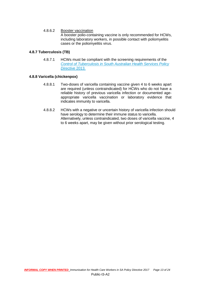#### 4.8.6.2 Booster vaccination

A booster polio-containing vaccine is only recommended for HCWs, including laboratory workers, in possible contact with poliomyelitis cases or the poliomyelitis virus.

#### **4.8.7 Tuberculosis (TB)**

4.8.7.1 HCWs must be compliant with the screening requirements of the *[Control of Tuberculosis in South Australian Health Services Policy](http://www.sahealth.sa.gov.au/)  [Directive](http://www.sahealth.sa.gov.au/)* 2013.

#### **4.8.8 Varicella (chickenpox)**

- 4.8.8.1 Two-doses of varicella containing vaccine given 4 to 6 weeks apart are required (unless contraindicated) for HCWs who do not have a reliable history of previous varicella infection or documented ageappropriate varicella vaccination or laboratory evidence that indicates immunity to varicella.
- 4.8.8.2 HCWs with a negative or uncertain history of varicella infection should have serology to determine their immune status to varicella. Alternatively, unless contraindicated, two doses of varicella vaccine, 4 to 6 weeks apart, may be given without prior serological testing.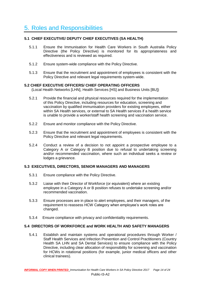# 5. Roles and Responsibilities

#### **5.1 CHIEF EXECUTIVE/ DEPUTY CHIEF EXECUTIVES (SA HEALTH)**

- 5.1.1 Ensure the Immunisation for Health Care Workers in South Australia Policy Directive (the Policy Directive) is monitored for its appropriateness and effectiveness and is reviewed as required.
- 5.1.2 Ensure system-wide compliance with the Policy Directive.
- 5.1.3 Ensure that the recruitment and appointment of employees is consistent with the Policy Directive and relevant legal requirements system-wide.

#### **5.2 CHIEF EXECUTIVE OFFICERS/ CHIEF OPERATING OFFICERS**

(Local Health Networks [LHN], Health Services [HS] and Business Units [BU])

- 5.2.1 Provide the financial and physical resources required for the implementation of this Policy Directive, including resources for education, screening and vaccination by qualified immunisation providers for existing employees, either within SA Health services, or external to SA Health services if a health service is unable to provide a worker/staff health screening and vaccination service.
- 5.2.2 Ensure and monitor compliance with the Policy Directive.
- 5.2.3 Ensure that the recruitment and appointment of employees is consistent with the Policy Directive and relevant legal requirements.
- 5.2.4 Conduct a review of a decision to not appoint a prospective employee to a Category A or Category B position due to refusal to undertaking screening and/or recommended vaccination, where such an individual seeks a review or lodges a grievance.

#### **5.3 EXECUTIVES, DIRECTORS, SENIOR MANAGERS AND MANAGERS**

- 5.3.1 Ensure compliance with the Policy Directive.
- 5.3.2 Liaise with their Director of Workforce (or equivalent) where an existing employee in a Category A or B position refuses to undertake screening and/or recommended vaccination.
- 5.3.3 Ensure processes are in place to alert employees, and their managers, of the requirement to reassess HCW Category when employee's work roles are changed.
- 5.3.4 Ensure compliance with privacy and confidentiality requirements.

#### **5.4 DIRECTORS OF WORKFORCE and WORK HEALTH AND SAFETY MANAGERS**

5.4.1 Establish and maintain systems and operational procedures through Worker / Staff Health Services and Infection Prevention and Control Practitioners (Country Health SA LHN and SA Dental Services) to ensure compliance with the Policy Directive, including clear allocation of responsibility for screening and vaccination for HCWs in rotational positions (for example, junior medical officers and other clinical trainees).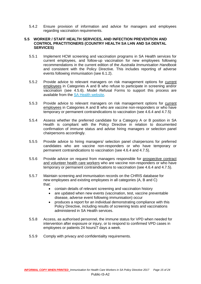5.4.2 Ensure provision of information and advice for managers and employees regarding vaccination requirements.

#### **5.5 WORKER / STAFF HEALTH SERVICES, AND INFECTION PREVENTION AND CONTROL PRACTITIONERS (COUNTRY HEALTH SA LHN AND SA DENTAL SERVICES)**

- 5.5.1 Implement HCW screening and vaccination programs in SA Health services for current employees, and follow-up vaccination for new employees following recommendations in the current edition of the *Australia Immunisation Handbook* and consistent with the Policy Directive. This includes reporting of adverse events following immunisation (see 6.1.2).
- 5.5.2 Provide advice to relevant managers on risk management options for current employees in Categories A and B who refuse to participate in screening and/or vaccination (see 4.5.6). Model Refusal Forms to support this process are available from the [SA Health website.](http://www.sahealth.sa.gov.au/immunisationprovider)
- 5.5.3 Provide advice to relevant managers on risk management options for current employees in Categories A and B who are vaccine non-responders or who have temporary or permanent contraindications to vaccination (see 4.6.4 and 4.7.5)
- 5.5.4 Assess whether the preferred candidate for a Category A or B position in SA Health is compliant with the Policy Directive in relation to documented confirmation of immune status and advise hiring managers or selection panel chairpersons accordingly.
- 5.5.5 Provide advice to hiring managers/ selection panel chairpersons for preferred candidates who are vaccine non-responders or who have temporary or permanent contraindications to vaccination (see 4.6.4 and 4.7.5).
- 5.5.6 Provide advice on request from managers responsible for prospective contract and volunteer health care workers who are vaccine non-responders or who have temporary or permanent contraindications to vaccination (see 4.6.4 and 4.7.5).
- 5.5.7 Maintain screening and immunisation records on the CHRIS database for new employees and existing employees in all categories (A, B and C) that:
	- contain details of relevant screening and vaccination history
	- are updated when new events (vaccination, test, vaccine preventable disease, adverse event following immunisation) occur
	- produces a report for an individual demonstrating compliance with this Policy Directive, including results of screening tests and vaccinations administered in SA Health services.
- 5.5.8 Access, as authorised personnel, the immune status for VPD when needed for intervention after exposure or injury, or to respond to confirmed VPD cases in employees or patients 24 hours/7 days a week.
- 5.5.9 Comply with privacy and confidentiality requirements.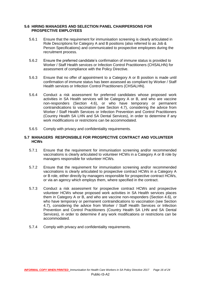#### **5.6 HIRING MANAGERS AND SELECTION PANEL CHAIRPERSONS FOR PROSPECTIVE EMPLOYEES**

- 5.6.1 Ensure that the requirement for immunisation screening is clearly articulated in Role Descriptions for Category A and B positions (also referred to as Job & Person Specifications) and communicated to prospective employees during the recruitment process.
- 5.6.2 Ensure the preferred candidate's confirmation of immune status is provided to Worker / Staff Health services or Infection Control Practitioners (CHSALHN) for assessment of compliance with the Policy Directive.
- 5.6.3 Ensure that no offer of appointment to a Category A or B position is made until confirmation of immune status has been assessed as compliant by Worker / Staff Health services or Infection Control Practitioners (CHSALHN).
- 5.6.4 Conduct a risk assessment for preferred candidates whose proposed work activities in SA Health services will be Category A or B, and who are vaccine non-responders (Section 4.6), or who have temporary or permanent contraindications to vaccination (see Section 4.7), considering the advice from Worker / Staff Health Services or Infection Prevention and Control Practitioners (Country Health SA LHN and SA Dental Services), in order to determine if any work modifications or restrictions can be accommodated.
- 5.6.5 Comply with privacy and confidentiality requirements.

#### **5.7 MANAGERS RESPONSIBLE FOR PROSPECTIVE CONTRACT AND VOLUNTEER HCWs**

- 5.7.1 Ensure that the requirement for immunisation screening and/or recommended vaccinations is clearly articulated to volunteer HCWs in a Category A or B role by managers responsible for volunteer HCWs.
- 5.7.2 Ensure that the requirement for immunisation screening and/or recommended vaccinations is clearly articulated to prospective contract HCWs in a Category A or B role, either directly by managers responsible for prospective contract HCWs, or via an agency which employs them, where specified in the contract.
- 5.7.3 Conduct a risk assessment for prospective contract HCWs and prospective volunteer HCWs whose proposed work activities in SA Health services places them in Category A or B, and who are vaccine non-responders (Section 4.6), or who have temporary or permanent contraindications to vaccination (see Section 4.7), considering the advice from Worker / Staff Health Services or Infection Prevention and Control Practitioners (Country Health SA LHN and SA Dental Services), in order to determine if any work modifications or restrictions can be accommodated.
- 5.7.4 Comply with privacy and confidentiality requirements.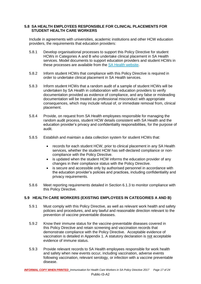#### **5.8 SA HEALTH EMPLOYEES RESPONSIBLE FOR CLINICAL PLACEMENTS FOR STUDENT HEALTH CARE WORKERS**

Include in agreements with universities, academic institutions and other HCW education providers, the requirements that education providers:

- 5.8.1 Develop organisational processes to support this Policy Directive for student HCWs in Categories A and B who undertake clinical placement in SA Health services. Model documents to support education providers and student HCWs in these processes are available from the [SA Health website.](http://www.sahealth.sa.gov.au/immunisationprovider)
- 5.8.2 Inform student HCWs that compliance with this Policy Directive is required in order to undertake clinical placement in SA Health services.
- 5.8.3 Inform student HCWs that a random audit of a sample of student HCWs will be undertaken by SA Health in collaboration with education providers to verify documentation provided as evidence of compliance, and any false or misleading documentation will be treated as professional misconduct with appropriate consequences, which may include refusal of, or immediate removal from, clinical placement.
- 5.8.4 Provide, on request from SA Health employees responsible for managing the random audit process, student HCW details consistent with SA Health and the education provider's privacy and confidentiality responsibilities, for the purpose of audit.
- 5.8.5 Establish and maintain a data collection system for student HCWs that:
	- records for each student HCW, prior to clinical placement in any SA Health services, whether the student HCW has self-declared compliance or noncompliance with the Policy Directive.
	- is updated when the student HCW informs the education provider of any changes in their compliance status with the Policy Directive.
	- is secure and accessible only by authorised personnel in accordance with the education provider's policies and practices, including confidentiality and privacy requirements.
- 5.8.6 Meet reporting requirements detailed in Section 6.1.3 to monitor compliance with this Policy Directive.

#### **5.9 HEALTH CARE WORKERS (EXISTING EMPLOYEES IN CATEGORIES A AND B)**

- 5.9.1 Must comply with this Policy Directive, as well as relevant work health and safety policies and procedures, and any lawful and reasonable direction relevant to the prevention of vaccine preventable diseases.
- 5.9.2 Know their immune status for the vaccine-preventable diseases covered in this Policy Directive and retain screening and vaccination records that demonstrate compliance with the Policy Directive. Acceptable evidence of vaccination is detailed in Appendix 1. A statutory declaration is not acceptable evidence of immune status.
- 5.9.3 Provide relevant records to SA Health employees responsible for work health and safety when new events occur, including vaccination, adverse events following vaccination, relevant serology, or infection with a vaccine preventable disease.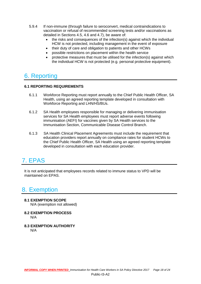- 5.9.4 If non-immune (through failure to seroconvert, medical contraindications to vaccination or refusal of recommended screening tests and/or vaccinations as detailed in Sections 4.5, 4.6 and 4.7), be aware of:
	- the risks and consequences of the infection(s) against which the individual HCW is not protected, including management in the event of exposure
	- their duty of care and obligation to patients and other HCWs
	- possible restrictions on placement within the health service
	- protective measures that must be utilised for the infection(s) against which the individual HCW is not protected (e.g. personal protective equipment).

# 6. Reporting

#### **6.1 REPORTING REQUIREMENTS**

- 6.1.1 Workforce Reporting must report annually to the Chief Public Health Officer, SA Health, using an agreed reporting template developed in consultation with Workforce Reporting and LHN/HS/BUs.
- 6.1.2 SA Health employees responsible for managing or delivering immunisation services for SA Health employees must report adverse events following immunisation (AEFI) for vaccines given by SA Health services to the Immunisation Section, Communicable Disease Control Branch.
- 6.1.3 SA Health Clinical Placement Agreements must include the requirement that education providers report annually on compliance rates for student HCWs to the Chief Public Health Officer, SA Health using an agreed reporting template developed in consultation with each education provider.

# 7. EPAS

It is not anticipated that employees records related to immune status to VPD will be maintained on EPAS.

# 8. Exemption

- **8.1 EXEMPTION SCOPE** N/A (exemption not allowed)
- **8.2 EXEMPTION PROCESS**

N/A

**8.3 EXEMPTION AUTHORITY** N/A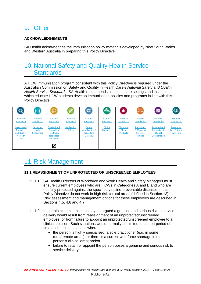# 9. Other

#### **ACKNOWLEDGEMENTS**

SA Health acknowledges the immunisation policy materials developed by New South Wales and Western Australia in preparing this Policy Directive.

# 10. National Safety and Quality Health Service **Standards**

A HCW immunisation program consistent with this Policy Directive is required under the Australian Commission on Safety and Quality in Health Care's *National Safety and Quality Health Service Standards.* SA Health recommends all health care settings and institutions which educate HCW students develop immunisation policies and programs in line with this Policy Directive.

| €                                                            |                                        |                                                                                         |                               | 0                                                                      | 43.                           | ۰                                                   | $+11$                                                   | $\blacksquare$                                                                              | ∜⊀                                       |
|--------------------------------------------------------------|----------------------------------------|-----------------------------------------------------------------------------------------|-------------------------------|------------------------------------------------------------------------|-------------------------------|-----------------------------------------------------|---------------------------------------------------------|---------------------------------------------------------------------------------------------|------------------------------------------|
| <b>National</b><br>Standard 1                                | <b>National</b><br><b>Standard 2</b>   | <b>National</b><br><b>Standard 3</b>                                                    | <b>National</b><br>Standard 4 | <b>National</b><br><b>Standard 5</b>                                   | <b>National</b><br>Standard 6 | <b>National</b><br>Standard 7                       | <b>National</b><br><b>Standard 8</b>                    | <b>National</b><br>Standard 9                                                               | <b>National</b><br>Standard 10           |
| Governance<br>for Safety<br>and Quality<br>in Health<br>Care | Partnering<br>with<br><b>Consumers</b> | <b>Preventing &amp;</b><br><b>Controlling</b><br>Healthcare<br>associated<br>infections | <b>Medication</b><br>Safety   | Patient<br><b>Identification &amp;</b><br>Procedure<br><b>Matching</b> | <b>Clinical</b><br>Handover   | <b>Blood and</b><br><b>Blood</b><br><b>Products</b> | Preventing<br>& Managing<br>Pressure<br><b>Injuries</b> | <b>Recognising &amp;</b><br><b>Responding to</b><br><b>Clinical</b><br><b>Deterioration</b> | Preventing<br>Falls & Harm<br>from Falls |
|                                                              |                                        | ☑                                                                                       |                               |                                                                        |                               |                                                     |                                                         |                                                                                             |                                          |

# 11. Risk Management

#### **11.1 REASSIGNMENT OF UNPROTECTED OR UNSCREENED EMPLOYEES**

- 11.1.1 SA Health Directors of Workforce and Work Health and Safety Managers must ensure current employees who are HCWs in Categories A and B and who are not fully protected against the specified vaccine-preventable diseases in this Policy Directive do not work in high risk clinical areas (defined in Section 13). Risk assessment and management options for these employees are described in Sections 4.5, 4.6 and 4.7.
- 11.1.2 In certain circumstances, it may be argued a genuine and serious risk to service delivery would result from reassignment of an unprotected/unscreened employee, or from failure to appoint an unprotected/unscreened employee to a clinical position. Such situations would normally be limited to a short period of time and in circumstances where:
	- $\bullet$  the person is highly specialised, a sole practitioner (e.g. in some rural/remote areas), or there is a current workforce shortage in the person's clinical area; and/or
	- failure to retain or appoint the person poses a genuine and serious risk to service delivery.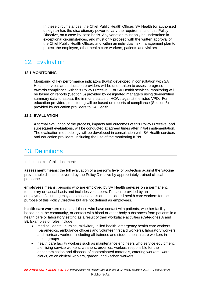In these circumstances, the Chief Public Health Officer, SA Health (or authorised delegate) has the discretionary power to vary the requirements of this Policy Directive, on a case-by-case basis. Any variation must only be undertaken in exceptional circumstances, and must only proceed with the written approval of the Chief Public Health Officer, and within an individual risk management plan to protect the employee, other health care workers, patients and visitors.

### 12. Evaluation

#### **12.1 MONITORING**

Monitoring of key performance indicators (KPIs) developed in consultation with SA Health services and education providers will be undertaken to assess progress towards compliance with this Policy Directive. For SA Health services, monitoring will be based on reports (Section 6) provided by designated managers using de-identified summary data to assess the immune status of HCWs against the listed VPD. For education providers, monitoring will be based on reports of compliance (Section 6) provided by education providers to SA Health.

#### **12.2 EVALUATION**

A formal evaluation of the process, impacts and outcomes of this Policy Directive, and subsequent evaluations, will be conducted at agreed times after initial implementation. The evaluation methodology will be developed in consultation with SA Health services and education providers, including the use of the monitoring KPIs.

### 13. Definitions

In the context of this document:

**assessment** means: the full evaluation of a person's level of protection against the vaccine preventable diseases covered by the Policy Directive by appropriately trained clinical personnel.

**employees** means: persons who are employed by SA Health services on a permanent, temporary or casual basis and includes volunteers. Persons provided by an employment/locum agency on a casual basis are considered health care workers for the purpose of this Policy Directive but are not defined as employees.

**health care workers** means: all those who have contact with patients, whether facilitybased or in the community, or contact with blood or other body substances from patients in a health care or laboratory setting as a result of their workplace activities (Categories A and B). Examples of roles include:

- medical, dental, nursing, midwifery, allied health, emergency health care workers (paramedics, ambulance officers and volunteer first aid workers), laboratory workers and mortuary workers, including all trainees and student health care workers in these groups
- health care facility workers such as maintenance engineers who service equipment, sterilising service workers, cleaners, orderlies, workers responsible for the decontamination and disposal of contaminated materials, catering workers, ward clerks, office clerical workers, garden, and kitchen workers.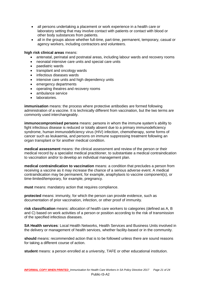- all persons undertaking a placement or work experience in a health care or laboratory setting that may involve contact with patients or contact with blood or other body substances from patients.
- all in the groups above whether full-time, part-time, permanent, temporary, casual or agency workers, including contractors and volunteers.

#### **high risk clinical areas** means:

- antenatal, perinatal and postnatal areas, including labour wards and recovery rooms
- neonatal intensive care units and special care units
- paediatric wards
- transplant and oncology wards
- infectious diseases wards
- intensive care units and high dependency units
- emergency departments
- operating theatres and recovery rooms
- ambulance service
- laboratories.

**immunisation** means: the process where protective antibodies are formed following administration of a vaccine. It is technically different from vaccination, but the two terms are commonly used interchangeably.

**immunocompromised persons** means: persons in whom the immune system's ability to fight infectious disease is reduced or totally absent due to a primary immunodeficiency syndrome, human immunodeficiency virus (HIV) infection, chemotherapy, some forms of cancer such as leukaemia, and persons on immune suppressing treatment following an organ transplant or for another medical condition.

**medical assessment** means: the clinical assessment and review of the person or their medical record by a specialist medical practitioner, to substantiate a medical contraindication to vaccination and/or to develop an individual management plan.

**medical contraindication to vaccination** means: a condition that precludes a person from receiving a vaccine as it may increase the chance of a serious adverse event. A medical contraindication may be permanent, for example, anaphylaxis to vaccine component(s), or time-limited/temporary, for example, pregnancy.

**must** means: mandatory action that requires compliance.

**protected** means: immunity, for which the person can provide evidence, such as documentation of prior vaccination, infection, or other proof of immunity.

**risk classification** means: allocation of health care workers to categories (defined as A, B and C) based on work activities of a person or position according to the risk of transmission of the specified infectious diseases.

**SA Health services**: Local Health Networks, Health Services and Business Units involved in the delivery or management of health services, whether facility-based or in the community.

**should** means: recommended action that is to be followed unless there are sound reasons for taking a different course of action.

**student** means: a person enrolled at a university, TAFE or other educational institution.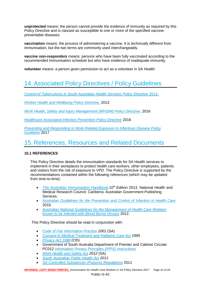**unprotected** means: the person cannot provide the evidence of immunity as required by this Policy Directive and is classed as susceptible to one or more of the specified vaccinepreventable diseases.

**vaccination** means: the process of administering a vaccine. It is technically different from immunisation, but the two terms are commonly used interchangeably.

**vaccine non-responders** means: persons who have been fully vaccinated according to the recommended immunisation schedule but who have evidence of inadequate immunity.

**volunteer** means: a person given permission to act as a volunteer in SA Health.

# 14. Associated Policy Directives / Policy Guidelines

*[Control of Tuberculosis in South Australian Health Services Policy Directive](http://www.sahealth.sa.gov.au/)* 2013.

*[Worker Health and Wellbeing Policy Directive](http://www.sahealth.sa.gov.au/)*, 2013

*[Work Health, Safety and Injury Management \(WHSIM\) Policy Directive](http://www.sahealth.sa.gov.au/)*, 2016

*[Healthcare Associated Infection Prevention Policy Directive](http://www.sahealth.sa.gov.au/)* 2016

*[Preventing and Responding to Work Related Exposure to Infectious Disease Policy](http://www.sahealth.sa.gov.au/)  [Guideline](http://www.sahealth.sa.gov.au/)* 2017

### 15. References, Resources and Related Documents

#### **15.1 REFERENCES**

This Policy Directive details the immunisation standards for SA Health services to implement in their workplaces to protect health care workers, other employees, patients and visitors from the risk of exposure to VPD. The Policy Directive is supported by the recommendations contained within the following references (which may be updated from time-to-time):

- *The Australian [Immunisation](http://www.immunise.health.gov.au/internet/immunise/publishing.nsf/Content/Handbook10-home) Handbook*.10<sup>th</sup> Edition 2013. National Health and Medical Research Council. Canberra: Australian Government Publishing Services.
- *[Australian Guidelines for the Prevention and Control of Infection in Health Care](http://www.nhmrc.gov.au/node/30290)* 2010.
- *Australian [National Guidelines for the Management of Health Care Workers](http://www.health.gov.au/internet/main/publishing.nsf/Content/cda-cdna-bloodborne.htm)  [known to be infected with Blood-Borne Viruses](http://www.health.gov.au/internet/main/publishing.nsf/Content/cda-cdna-bloodborne.htm)* 2012.

This Policy Directive should be read in conjunction with:

- *[Code of Fair Information Practice](https://www.rahresearchfund.com.au/wp-content/uploads/2016/07/CodeOfFairInformationPractice-PIGR-1206.pdf) 2001* (SA)
- *[Consent to Medical Treatment and Palliative Care Act](http://www.legislation.sa.gov.au/) 1995*
- *[Privacy Act 1988](https://www.oaic.gov.au/privacy-law/privacy-act/)* (Cth)
- Government of South Australia Department of Premier and Cabinet Circular PC012 *[Information Privacy Principles \(IPPS\) Instructions](http://www.dpc.sa.gov.au/documents/rendition/B17711)*
- *[Work Health and Safety Act](https://www.legislation.sa.gov.au/) 2012* (SA)
- *South Australian [Public Health Act](https://www.legislation.sa.gov.au/) 2011*
- *[SA Controlled Substances](https://www.legislation.sa.gov.au/) (Poisons) Regulations* 2011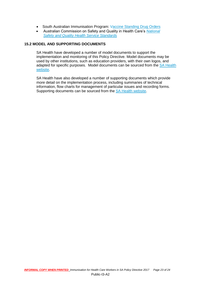- South Australian Immunisation Program: Vaccine [Standing Drug Orders](http://www.sahealth.sa.gov.au/)
- Australian Commission on Safety and Quality in Health Care's *[National](http://www.safetyandquality.gov.au/publications/national-safety-and-quality-health-service-standards/)  [Safety and Quality Health Service Standards](http://www.safetyandquality.gov.au/publications/national-safety-and-quality-health-service-standards/)*

#### **15.2 MODEL AND SUPPORTING DOCUMENTS**

SA Health have developed a number of model documents to support the implementation and monitoring of this Policy Directive. Model documents may be used by other institutions, such as education providers, with their own logos, and adapted for specific purposes. Model documents can be sourced from the [SA Health](http://www.sahealth.sa.gov.au/immunisationprovider)  [website.](http://www.sahealth.sa.gov.au/immunisationprovider)

SA Health have also developed a number of supporting documents which provide more detail on the implementation process, including summaries of technical information, flow charts for management of particular issues and recording forms. Supporting documents can be sourced from the [SA Health website.](http://www.sahealth.sa.gov.au/immunisationprovider)